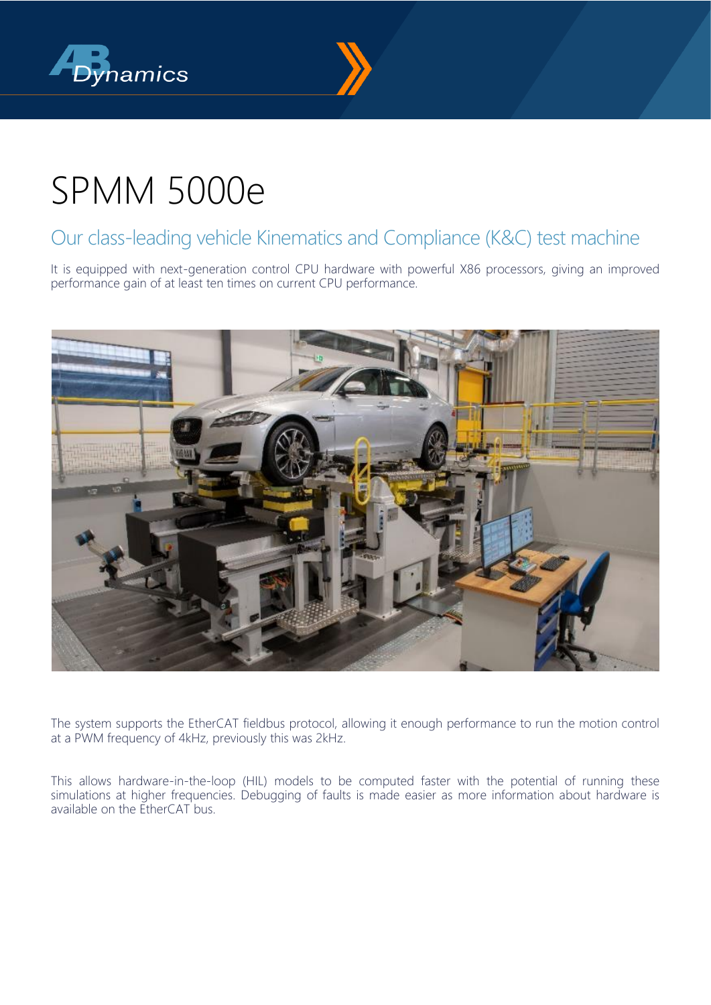



## SPMM 5000e

### Our class-leading vehicle Kinematics and Compliance (K&C) test machine

It is equipped with next-generation control CPU hardware with powerful X86 processors, giving an improved performance gain of at least ten times on current CPU performance.



The system supports the EtherCAT fieldbus protocol, allowing it enough performance to run the motion control at a PWM frequency of 4kHz, previously this was 2kHz.

This allows hardware-in-the-loop (HIL) models to be computed faster with the potential of running these simulations at higher frequencies. Debugging of faults is made easier as more information about hardware is available on the EtherCAT bus.